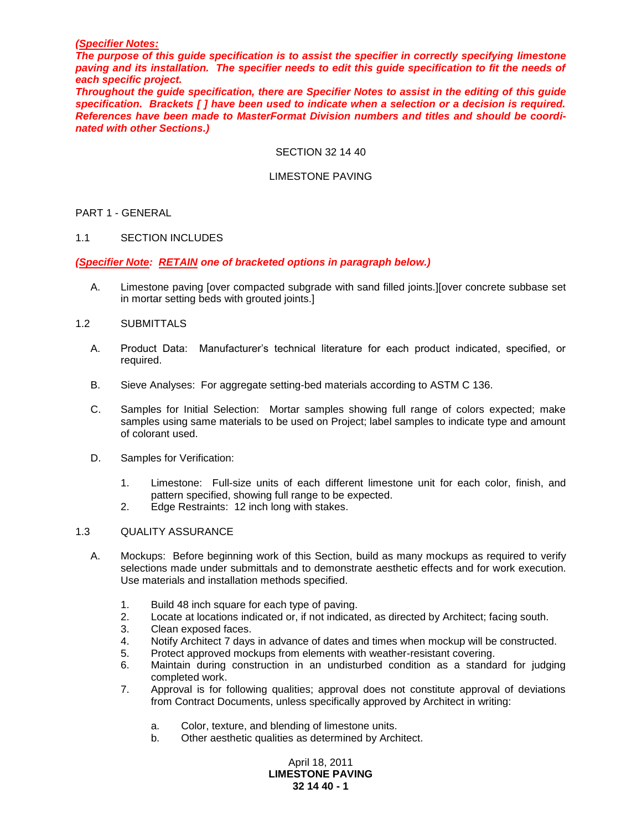#### *(Specifier Notes:*

*The purpose of this guide specification is to assist the specifier in correctly specifying limestone paving and its installation. The specifier needs to edit this guide specification to fit the needs of each specific project.* 

*Throughout the guide specification, there are Specifier Notes to assist in the editing of this guide specification. Brackets [ ] have been used to indicate when a selection or a decision is required. References have been made to MasterFormat Division numbers and titles and should be coordinated with other Sections.)*

#### SECTION 32 14 40

### LIMESTONE PAVING

### PART 1 - GENERAL

#### 1.1 SECTION INCLUDES

### *(Specifier Note: RETAIN one of bracketed options in paragraph below.)*

A. Limestone paving [over compacted subgrade with sand filled joints.][over concrete subbase set in mortar setting beds with grouted joints.]

#### 1.2 SUBMITTALS

- A. Product Data: Manufacturer's technical literature for each product indicated, specified, or required.
- B. Sieve Analyses: For aggregate setting-bed materials according to ASTM C 136.
- C. Samples for Initial Selection: Mortar samples showing full range of colors expected; make samples using same materials to be used on Project; label samples to indicate type and amount of colorant used.
- D. Samples for Verification:
	- 1. Limestone: Full-size units of each different limestone unit for each color, finish, and pattern specified, showing full range to be expected.
	- 2. Edge Restraints: 12 inch long with stakes.

#### 1.3 QUALITY ASSURANCE

- A. Mockups: Before beginning work of this Section, build as many mockups as required to verify selections made under submittals and to demonstrate aesthetic effects and for work execution. Use materials and installation methods specified.
	- 1. Build 48 inch square for each type of paving.
	- 2. Locate at locations indicated or, if not indicated, as directed by Architect; facing south.
	- 3. Clean exposed faces.
	- 4. Notify Architect 7 days in advance of dates and times when mockup will be constructed.
	- 5. Protect approved mockups from elements with weather-resistant covering.
	- 6. Maintain during construction in an undisturbed condition as a standard for judging completed work.
	- 7. Approval is for following qualities; approval does not constitute approval of deviations from Contract Documents, unless specifically approved by Architect in writing:
		- a. Color, texture, and blending of limestone units.
		- b. Other aesthetic qualities as determined by Architect.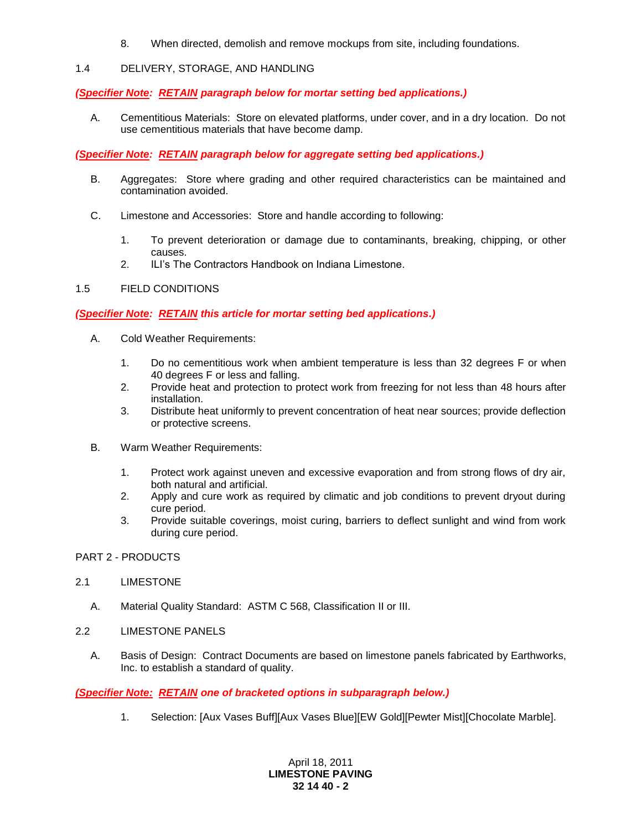8. When directed, demolish and remove mockups from site, including foundations.

# 1.4 DELIVERY, STORAGE, AND HANDLING

## *(Specifier Note: RETAIN paragraph below for mortar setting bed applications.)*

A. Cementitious Materials: Store on elevated platforms, under cover, and in a dry location. Do not use cementitious materials that have become damp.

# *(Specifier Note: RETAIN paragraph below for aggregate setting bed applications.)*

- B. Aggregates: Store where grading and other required characteristics can be maintained and contamination avoided.
- C. Limestone and Accessories: Store and handle according to following:
	- 1. To prevent deterioration or damage due to contaminants, breaking, chipping, or other causes.
	- 2. ILI's The Contractors Handbook on Indiana Limestone.

# 1.5 FIELD CONDITIONS

# *(Specifier Note: RETAIN this article for mortar setting bed applications.)*

- A. Cold Weather Requirements:
	- 1. Do no cementitious work when ambient temperature is less than 32 degrees F or when 40 degrees F or less and falling.
	- 2. Provide heat and protection to protect work from freezing for not less than 48 hours after installation.
	- 3. Distribute heat uniformly to prevent concentration of heat near sources; provide deflection or protective screens.
- B. Warm Weather Requirements:
	- 1. Protect work against uneven and excessive evaporation and from strong flows of dry air, both natural and artificial.
	- 2. Apply and cure work as required by climatic and job conditions to prevent dryout during cure period.
	- 3. Provide suitable coverings, moist curing, barriers to deflect sunlight and wind from work during cure period.

### PART 2 - PRODUCTS

### 2.1 LIMESTONE

- A. Material Quality Standard: ASTM C 568, Classification II or III.
- 2.2 LIMESTONE PANELS
	- A. Basis of Design: Contract Documents are based on limestone panels fabricated by Earthworks, Inc. to establish a standard of quality.

# *(Specifier Note: RETAIN one of bracketed options in subparagraph below.)*

1. Selection: [Aux Vases Buff][Aux Vases Blue][EW Gold][Pewter Mist][Chocolate Marble].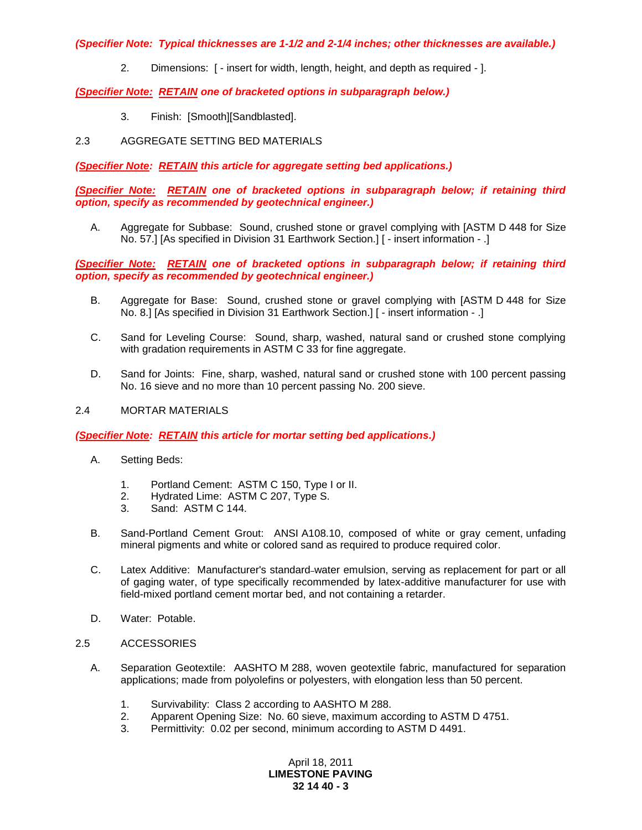*(Specifier Note: Typical thicknesses are 1-1/2 and 2-1/4 inches; other thicknesses are available.)*

2. Dimensions: [ - insert for width, length, height, and depth as required - ].

## *(Specifier Note: RETAIN one of bracketed options in subparagraph below.)*

3. Finish: [Smooth][Sandblasted].

# 2.3 AGGREGATE SETTING BED MATERIALS

*(Specifier Note: RETAIN this article for aggregate setting bed applications.)*

*(Specifier Note: RETAIN one of bracketed options in subparagraph below; if retaining third option, specify as recommended by geotechnical engineer.)*

A. Aggregate for Subbase: Sound, crushed stone or gravel complying with [ASTM D 448 for Size No. 57.] [As specified in Division 31 Earthwork Section.] [ - insert information - .]

*(Specifier Note: RETAIN one of bracketed options in subparagraph below; if retaining third option, specify as recommended by geotechnical engineer.)*

- B. Aggregate for Base: Sound, crushed stone or gravel complying with [ASTM D 448 for Size No. 8.] [As specified in Division 31 Earthwork Section.] [ - insert information - .]
- C. Sand for Leveling Course: Sound, sharp, washed, natural sand or crushed stone complying with gradation requirements in ASTM C 33 for fine aggregate.
- D. Sand for Joints: Fine, sharp, washed, natural sand or crushed stone with 100 percent passing No. 16 sieve and no more than 10 percent passing No. 200 sieve.

#### 2.4 MORTAR MATERIALS

### *(Specifier Note: RETAIN this article for mortar setting bed applications.)*

- A. Setting Beds:
	- 1. Portland Cement: ASTM C 150, Type I or II.
	- 2. Hydrated Lime: ASTM C 207, Type S.
	- 3. Sand: ASTM C 144.
- B. Sand-Portland Cement Grout: ANSI A108.10, composed of white or gray cement, unfading mineral pigments and white or colored sand as required to produce required color.
- C. Latex Additive: Manufacturer's standard water emulsion, serving as replacement for part or all of gaging water, of type specifically recommended by latex-additive manufacturer for use with field-mixed portland cement mortar bed, and not containing a retarder.
- D. Water: Potable.
- 2.5 ACCESSORIES
	- A. Separation Geotextile: AASHTO M 288, woven geotextile fabric, manufactured for separation applications; made from polyolefins or polyesters, with elongation less than 50 percent.
		- 1. Survivability: Class 2 according to AASHTO M 288.
		- 2. Apparent Opening Size: No. 60 sieve, maximum according to ASTM D 4751.
		- 3. Permittivity: 0.02 per second, minimum according to ASTM D 4491.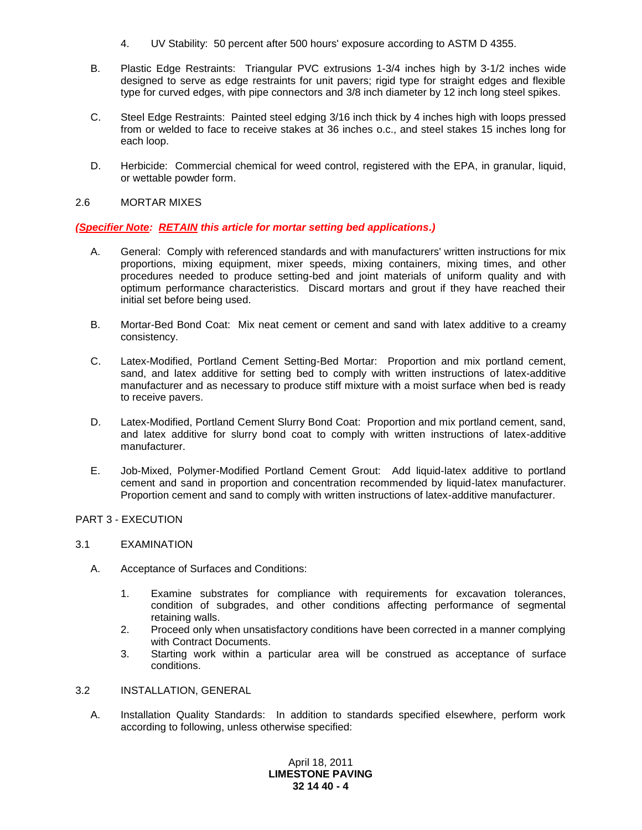- 4. UV Stability: 50 percent after 500 hours' exposure according to ASTM D 4355.
- B. Plastic Edge Restraints: Triangular PVC extrusions 1-3/4 inches high by 3-1/2 inches wide designed to serve as edge restraints for unit pavers; rigid type for straight edges and flexible type for curved edges, with pipe connectors and 3/8 inch diameter by 12 inch long steel spikes.
- C. Steel Edge Restraints: Painted steel edging 3/16 inch thick by 4 inches high with loops pressed from or welded to face to receive stakes at 36 inches o.c., and steel stakes 15 inches long for each loop.
- D. Herbicide: Commercial chemical for weed control, registered with the EPA, in granular, liquid, or wettable powder form.

### 2.6 MORTAR MIXES

### *(Specifier Note: RETAIN this article for mortar setting bed applications.)*

- A. General: Comply with referenced standards and with manufacturers' written instructions for mix proportions, mixing equipment, mixer speeds, mixing containers, mixing times, and other procedures needed to produce setting-bed and joint materials of uniform quality and with optimum performance characteristics. Discard mortars and grout if they have reached their initial set before being used.
- B. Mortar-Bed Bond Coat: Mix neat cement or cement and sand with latex additive to a creamy consistency.
- C. Latex-Modified, Portland Cement Setting-Bed Mortar: Proportion and mix portland cement, sand, and latex additive for setting bed to comply with written instructions of latex-additive manufacturer and as necessary to produce stiff mixture with a moist surface when bed is ready to receive pavers.
- D. Latex-Modified, Portland Cement Slurry Bond Coat: Proportion and mix portland cement, sand, and latex additive for slurry bond coat to comply with written instructions of latex-additive manufacturer.
- E. Job-Mixed, Polymer-Modified Portland Cement Grout: Add liquid-latex additive to portland cement and sand in proportion and concentration recommended by liquid-latex manufacturer. Proportion cement and sand to comply with written instructions of latex-additive manufacturer.

## PART 3 - EXECUTION

#### 3.1 EXAMINATION

- A. Acceptance of Surfaces and Conditions:
	- 1. Examine substrates for compliance with requirements for excavation tolerances, condition of subgrades, and other conditions affecting performance of segmental retaining walls.
	- 2. Proceed only when unsatisfactory conditions have been corrected in a manner complying with Contract Documents.
	- 3. Starting work within a particular area will be construed as acceptance of surface conditions.

#### 3.2 INSTALLATION, GENERAL

A. Installation Quality Standards: In addition to standards specified elsewhere, perform work according to following, unless otherwise specified: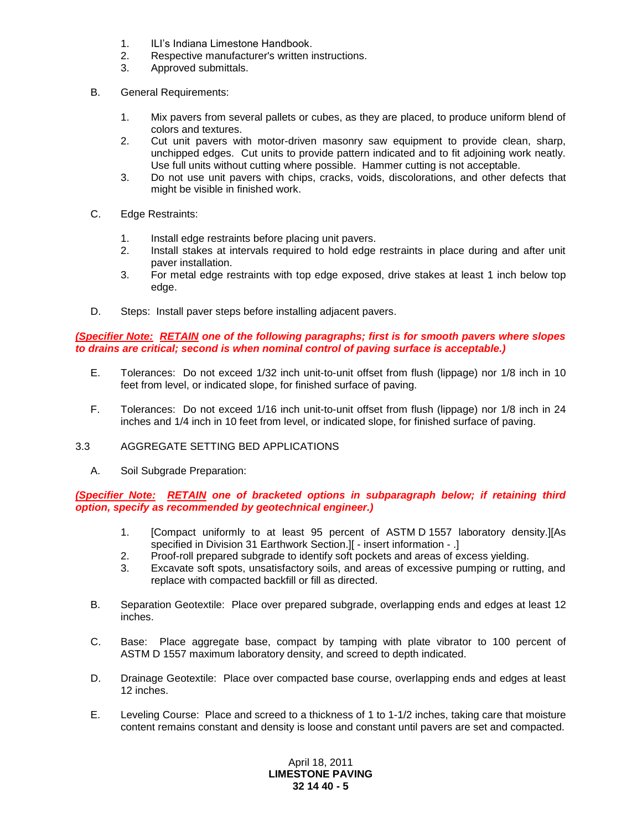- 1. ILI's Indiana Limestone Handbook.
- 2. Respective manufacturer's written instructions.
- 3. Approved submittals.
- B. General Requirements:
	- 1. Mix pavers from several pallets or cubes, as they are placed, to produce uniform blend of colors and textures.
	- 2. Cut unit pavers with motor-driven masonry saw equipment to provide clean, sharp, unchipped edges. Cut units to provide pattern indicated and to fit adjoining work neatly. Use full units without cutting where possible. Hammer cutting is not acceptable.
	- 3. Do not use unit pavers with chips, cracks, voids, discolorations, and other defects that might be visible in finished work.
- C. Edge Restraints:
	- 1. Install edge restraints before placing unit pavers.
	- 2. Install stakes at intervals required to hold edge restraints in place during and after unit paver installation.
	- 3. For metal edge restraints with top edge exposed, drive stakes at least 1 inch below top edge.
- D. Steps: Install paver steps before installing adjacent pavers.

*(Specifier Note: RETAIN one of the following paragraphs; first is for smooth pavers where slopes to drains are critical; second is when nominal control of paving surface is acceptable.)*

- E. Tolerances: Do not exceed 1/32 inch unit-to-unit offset from flush (lippage) nor 1/8 inch in 10 feet from level, or indicated slope, for finished surface of paving.
- F. Tolerances: Do not exceed 1/16 inch unit-to-unit offset from flush (lippage) nor 1/8 inch in 24 inches and 1/4 inch in 10 feet from level, or indicated slope, for finished surface of paving.

# 3.3 AGGREGATE SETTING BED APPLICATIONS

A. Soil Subgrade Preparation:

*(Specifier Note: RETAIN one of bracketed options in subparagraph below; if retaining third option, specify as recommended by geotechnical engineer.)*

- 1. [Compact uniformly to at least 95 percent of ASTM D 1557 laboratory density.][As specified in Division 31 Earthwork Section.][ - insert information - .]
- 2. Proof-roll prepared subgrade to identify soft pockets and areas of excess yielding.
- 3. Excavate soft spots, unsatisfactory soils, and areas of excessive pumping or rutting, and replace with compacted backfill or fill as directed.
- B. Separation Geotextile: Place over prepared subgrade, overlapping ends and edges at least 12 inches.
- C. Base: Place aggregate base, compact by tamping with plate vibrator to 100 percent of ASTM D 1557 maximum laboratory density, and screed to depth indicated.
- D. Drainage Geotextile: Place over compacted base course, overlapping ends and edges at least 12 inches.
- E. Leveling Course: Place and screed to a thickness of 1 to 1-1/2 inches, taking care that moisture content remains constant and density is loose and constant until pavers are set and compacted.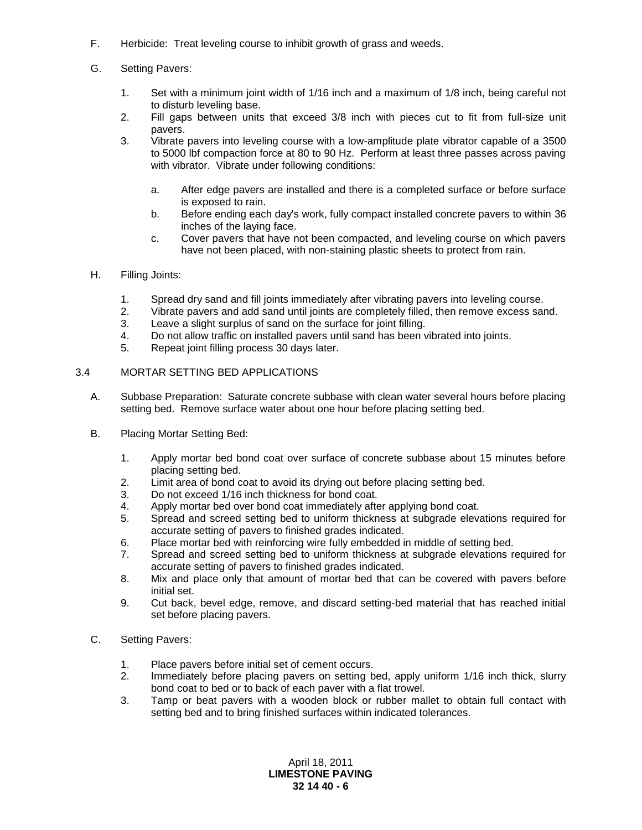- F. Herbicide: Treat leveling course to inhibit growth of grass and weeds.
- G. Setting Pavers:
	- 1. Set with a minimum joint width of 1/16 inch and a maximum of 1/8 inch, being careful not to disturb leveling base.
	- 2. Fill gaps between units that exceed 3/8 inch with pieces cut to fit from full-size unit pavers.
	- 3. Vibrate pavers into leveling course with a low-amplitude plate vibrator capable of a 3500 to 5000 lbf compaction force at 80 to 90 Hz. Perform at least three passes across paving with vibrator. Vibrate under following conditions:
		- a. After edge pavers are installed and there is a completed surface or before surface is exposed to rain.
		- b. Before ending each day's work, fully compact installed concrete pavers to within 36 inches of the laying face.
		- c. Cover pavers that have not been compacted, and leveling course on which pavers have not been placed, with non-staining plastic sheets to protect from rain.
- H. Filling Joints:
	- 1. Spread dry sand and fill joints immediately after vibrating pavers into leveling course.
	- 2. Vibrate pavers and add sand until joints are completely filled, then remove excess sand.
	- 3. Leave a slight surplus of sand on the surface for joint filling.
	- 4. Do not allow traffic on installed pavers until sand has been vibrated into joints.
	- 5. Repeat joint filling process 30 days later.

# 3.4 MORTAR SETTING BED APPLICATIONS

- A. Subbase Preparation: Saturate concrete subbase with clean water several hours before placing setting bed. Remove surface water about one hour before placing setting bed.
- B. Placing Mortar Setting Bed:
	- 1. Apply mortar bed bond coat over surface of concrete subbase about 15 minutes before placing setting bed.
	- 2. Limit area of bond coat to avoid its drying out before placing setting bed.
	- 3. Do not exceed 1/16 inch thickness for bond coat.
	- 4. Apply mortar bed over bond coat immediately after applying bond coat.
	- 5. Spread and screed setting bed to uniform thickness at subgrade elevations required for accurate setting of pavers to finished grades indicated.
	- 6. Place mortar bed with reinforcing wire fully embedded in middle of setting bed.
	- 7. Spread and screed setting bed to uniform thickness at subgrade elevations required for accurate setting of pavers to finished grades indicated.
	- 8. Mix and place only that amount of mortar bed that can be covered with pavers before initial set.
	- 9. Cut back, bevel edge, remove, and discard setting-bed material that has reached initial set before placing pavers.
- C. Setting Pavers:
	- 1. Place pavers before initial set of cement occurs.
	- 2. Immediately before placing pavers on setting bed, apply uniform 1/16 inch thick, slurry bond coat to bed or to back of each paver with a flat trowel.
	- 3. Tamp or beat pavers with a wooden block or rubber mallet to obtain full contact with setting bed and to bring finished surfaces within indicated tolerances.